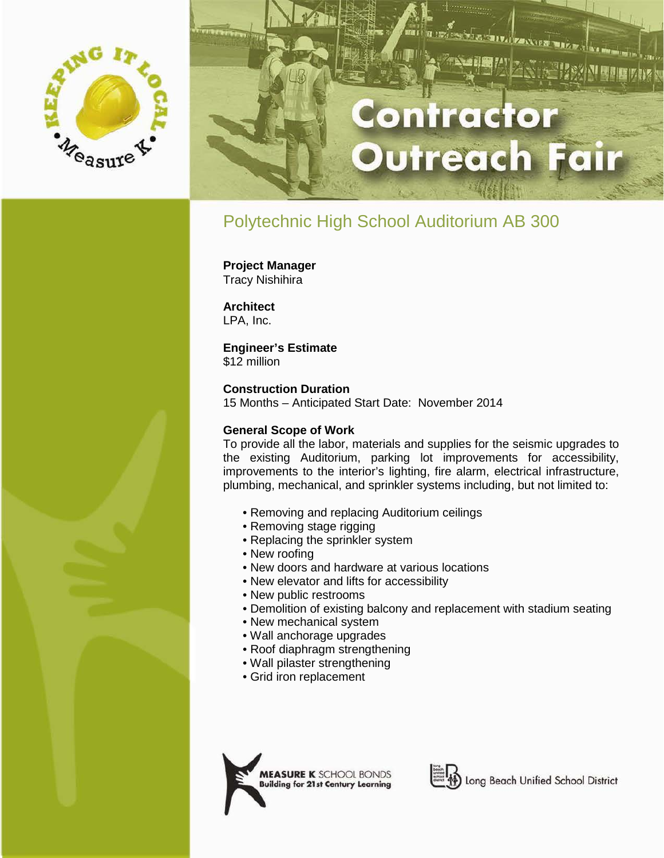

# ontractor **utreach Fair**

**IIV. TEANTE** 

## Polytechnic High School Auditorium AB 300

**Project Manager** Tracy Nishihira

**Architect** LPA, Inc.

#### **Engineer's Estimate**

\$12 million

#### **Construction Duration**

15 Months – Anticipated Start Date: November 2014

#### **General Scope of Work**

To provide all the labor, materials and supplies for the seismic upgrades to the existing Auditorium, parking lot improvements for accessibility, improvements to the interior's lighting, fire alarm, electrical infrastructure, plumbing, mechanical, and sprinkler systems including, but not limited to:

- Removing and replacing Auditorium ceilings
- Removing stage rigging
- Replacing the sprinkler system
- New roofing
- New doors and hardware at various locations
- New elevator and lifts for accessibility
- New public restrooms
- Demolition of existing balcony and replacement with stadium seating
- New mechanical system
- Wall anchorage upgrades
- Roof diaphragm strengthening
- Wall pilaster strengthening
- Grid iron replacement